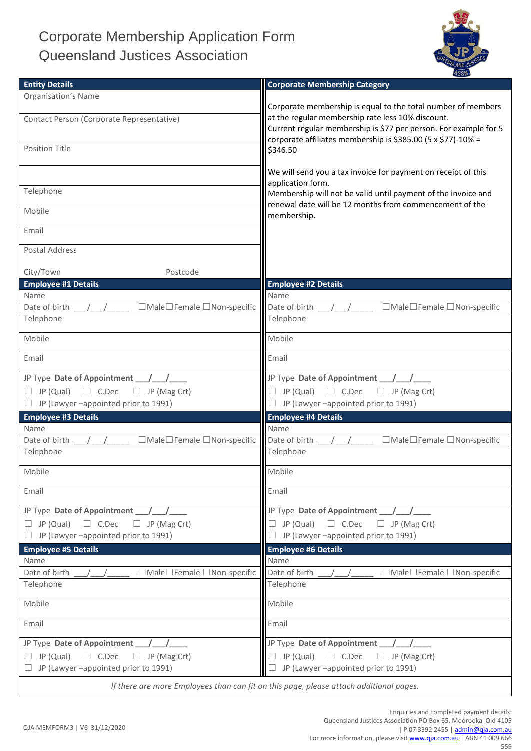## Corporate Membership Application Form Queensland Justices Association



| <b>Entity Details</b>                                                                  | <b>Corporate Membership Category</b>                             |
|----------------------------------------------------------------------------------------|------------------------------------------------------------------|
| <b>Organisation's Name</b>                                                             |                                                                  |
|                                                                                        | Corporate membership is equal to the total number of members     |
| Contact Person (Corporate Representative)                                              | at the regular membership rate less 10% discount.                |
|                                                                                        | Current regular membership is \$77 per person. For example for 5 |
|                                                                                        | corporate affiliates membership is \$385.00 (5 x \$77)-10% =     |
| <b>Position Title</b>                                                                  | \$346.50                                                         |
|                                                                                        |                                                                  |
|                                                                                        | We will send you a tax invoice for payment on receipt of this    |
|                                                                                        | application form.                                                |
| Telephone                                                                              | Membership will not be valid until payment of the invoice and    |
| Mobile                                                                                 | renewal date will be 12 months from commencement of the          |
|                                                                                        | membership.                                                      |
| Email                                                                                  |                                                                  |
|                                                                                        |                                                                  |
| <b>Postal Address</b>                                                                  |                                                                  |
|                                                                                        |                                                                  |
| City/Town<br>Postcode                                                                  |                                                                  |
| <b>Employee #1 Details</b>                                                             | <b>Employee #2 Details</b>                                       |
| Name                                                                                   | Name                                                             |
| □Male□Female □Non-specific<br>Date of birth                                            | □Male□Female □Non-specific<br>Date of birth                      |
| Telephone                                                                              | Telephone                                                        |
| Mobile                                                                                 | Mobile                                                           |
|                                                                                        |                                                                  |
| Email                                                                                  | Email                                                            |
|                                                                                        |                                                                  |
|                                                                                        |                                                                  |
| $\Box$ C.Dec<br>JP (Qual)<br>$\Box$ JP (Mag Crt)<br>$\Box$                             | JP (Qual)<br>$\Box$ C.Dec<br>$\Box$ JP (Mag Crt)<br>$\Box$       |
| JP (Lawyer -appointed prior to 1991)<br>$\Box$                                         | JP (Lawyer -appointed prior to 1991)<br>$\Box$                   |
| <b>Employee #3 Details</b>                                                             | <b>Employee #4 Details</b>                                       |
| Name                                                                                   | Name                                                             |
| □Male□Female □Non-specific<br>Date of birth                                            | Date of birth<br>□Male□Female □Non-specific                      |
| Telephone                                                                              | Telephone                                                        |
|                                                                                        |                                                                  |
| Mobile                                                                                 | Mobile                                                           |
| Email                                                                                  | Email                                                            |
|                                                                                        |                                                                  |
| JP Type Date of Appointment                                                            |                                                                  |
| JP (Qual)<br>$\Box$ C.Dec<br>$\Box$ JP (Mag Crt)<br>u.                                 | $\Box$ C.Dec<br>JP (Qual)<br>$\Box$ JP (Mag Crt)<br>$\Box$       |
| $\Box$ JP (Lawyer -appointed prior to 1991)                                            | JP (Lawyer -appointed prior to 1991)<br>$\Box$                   |
|                                                                                        |                                                                  |
| <b>Employee #5 Details</b>                                                             | <b>Employee #6 Details</b>                                       |
| Name                                                                                   | Name                                                             |
| Date of birth<br>□Male□Female □Non-specific                                            | Date of birth<br>$\Box$ Male $\Box$ Female $\Box$ Non-specific   |
| Telephone                                                                              | Telephone                                                        |
| Mobile                                                                                 | Mobile                                                           |
|                                                                                        |                                                                  |
| Email                                                                                  | Email                                                            |
|                                                                                        |                                                                  |
| JP Type Date of Appointment                                                            | JP Type Date of Appointment _                                    |
| JP (Qual)<br>$\Box$ JP (Mag Crt)<br>$\Box$ C.Dec                                       | JP (Qual)<br>$\Box$ C.Dec<br>$\Box$ JP (Mag Crt)                 |
| JP (Lawyer -appointed prior to 1991)                                                   | JP (Lawyer -appointed prior to 1991)                             |
| If there are more Employees than can fit on this page, please attach additional pages. |                                                                  |